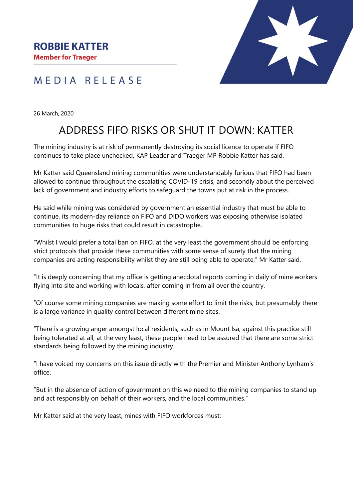# MEDIA RELEASE

26 March, 2020

# ADDRESS FIFO RISKS OR SHUT IT DOWN: KATTER

The mining industry is at risk of permanently destroying its social licence to operate if FIFO continues to take place unchecked, KAP Leader and Traeger MP Robbie Katter has said.

Mr Katter said Queensland mining communities were understandably furious that FIFO had been allowed to continue throughout the escalating COVID-19 crisis, and secondly about the perceived lack of government and industry efforts to safeguard the towns put at risk in the process.

He said while mining was considered by government an essential industry that must be able to continue, its modern-day reliance on FIFO and DIDO workers was exposing otherwise isolated communities to huge risks that could result in catastrophe.

"Whilst I would prefer a total ban on FIFO, at the very least the government should be enforcing strict protocols that provide these communities with some sense of surety that the mining companies are acting responsibility whilst they are still being able to operate," Mr Katter said.

"It is deeply concerning that my office is getting anecdotal reports coming in daily of mine workers flying into site and working with locals, after coming in from all over the country.

"Of course some mining companies are making some effort to limit the risks, but presumably there is a large variance in quality control between different mine sites.

"There is a growing anger amongst local residents, such as in Mount Isa, against this practice still being tolerated at all; at the very least, these people need to be assured that there are some strict standards being followed by the mining industry.

"I have voiced my concerns on this issue directly with the Premier and Minister Anthony Lynham's office.

"But in the absence of action of government on this we need to the mining companies to stand up and act responsibly on behalf of their workers, and the local communities."

Mr Katter said at the very least, mines with FIFO workforces must: